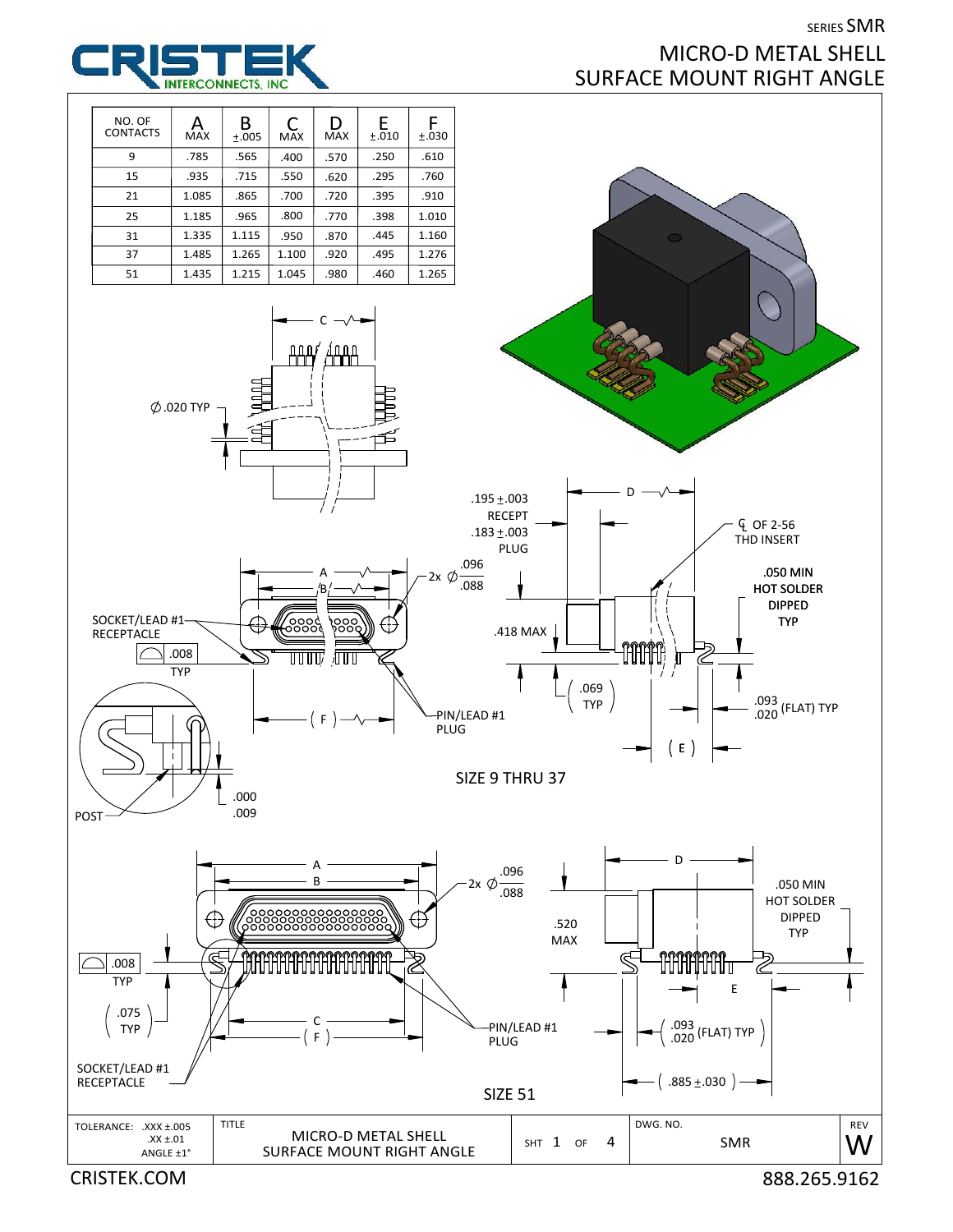## SERIES SMR MICRO‐D METAL SHELL SURFACE MOUNT RIGHT ANGLE



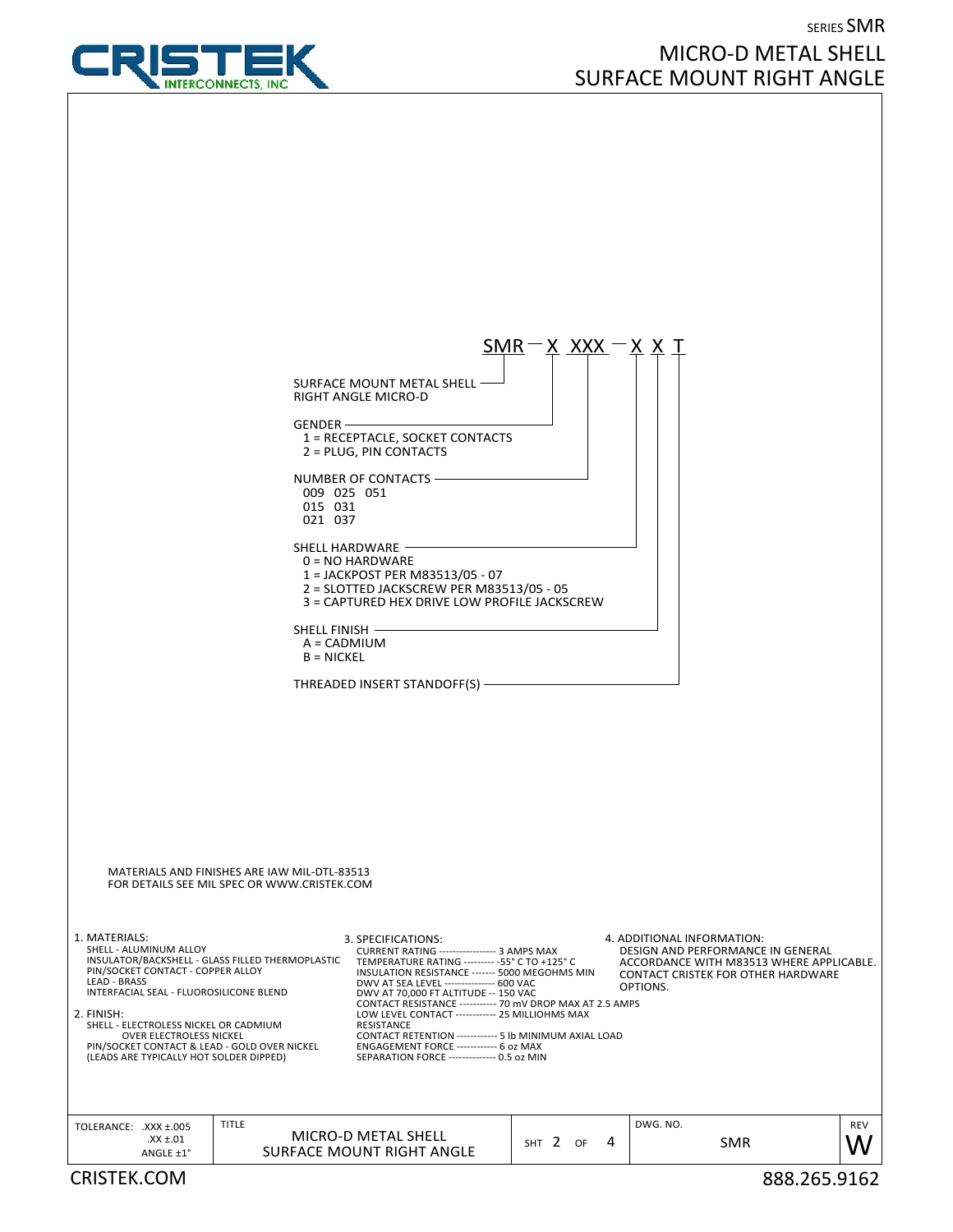

## SERIES SMR MICRO‐D METAL SHELL SURFACE MOUNT RIGHT ANGLE

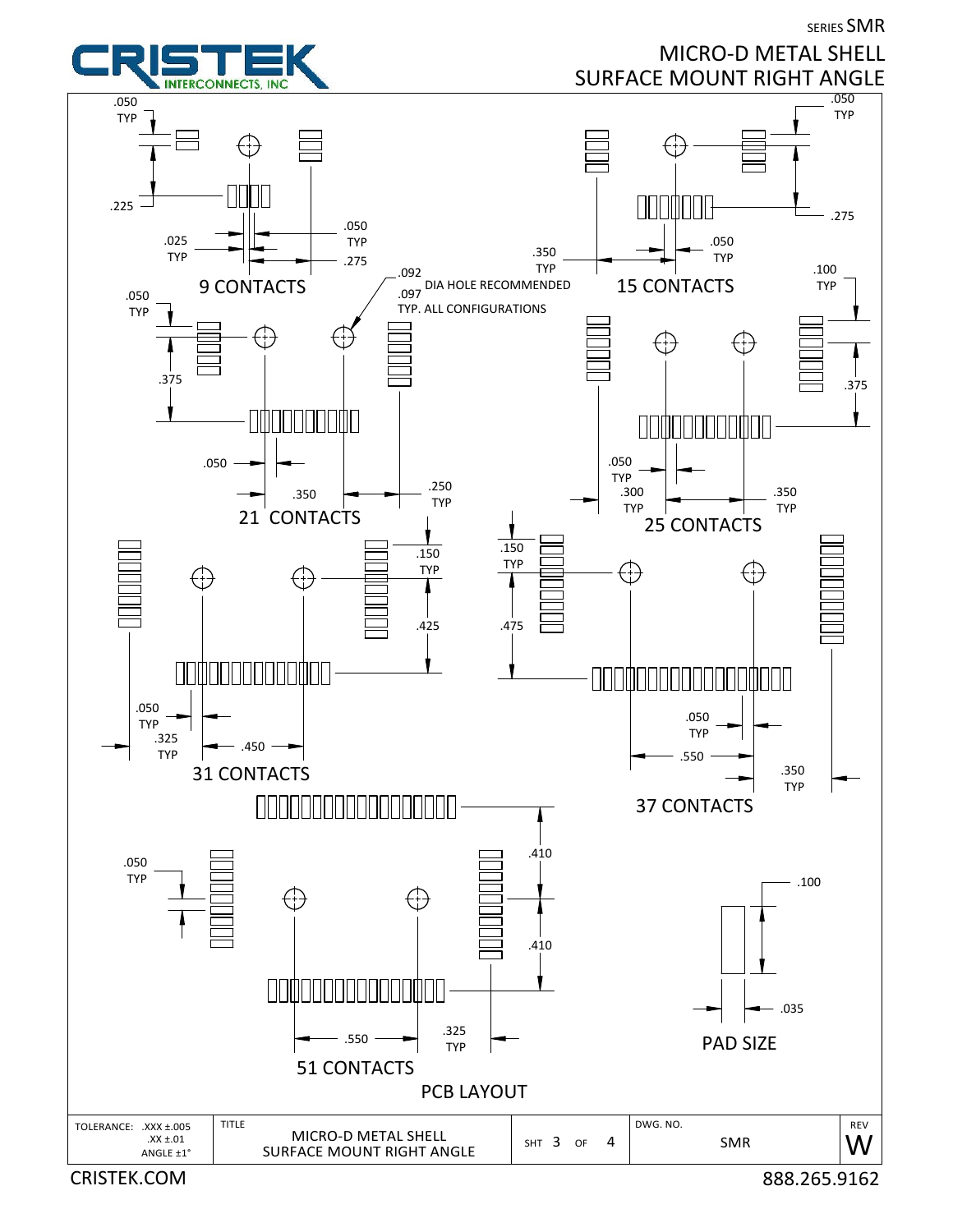

CRISTEK.COM 888.265.9162

SERIES SMR